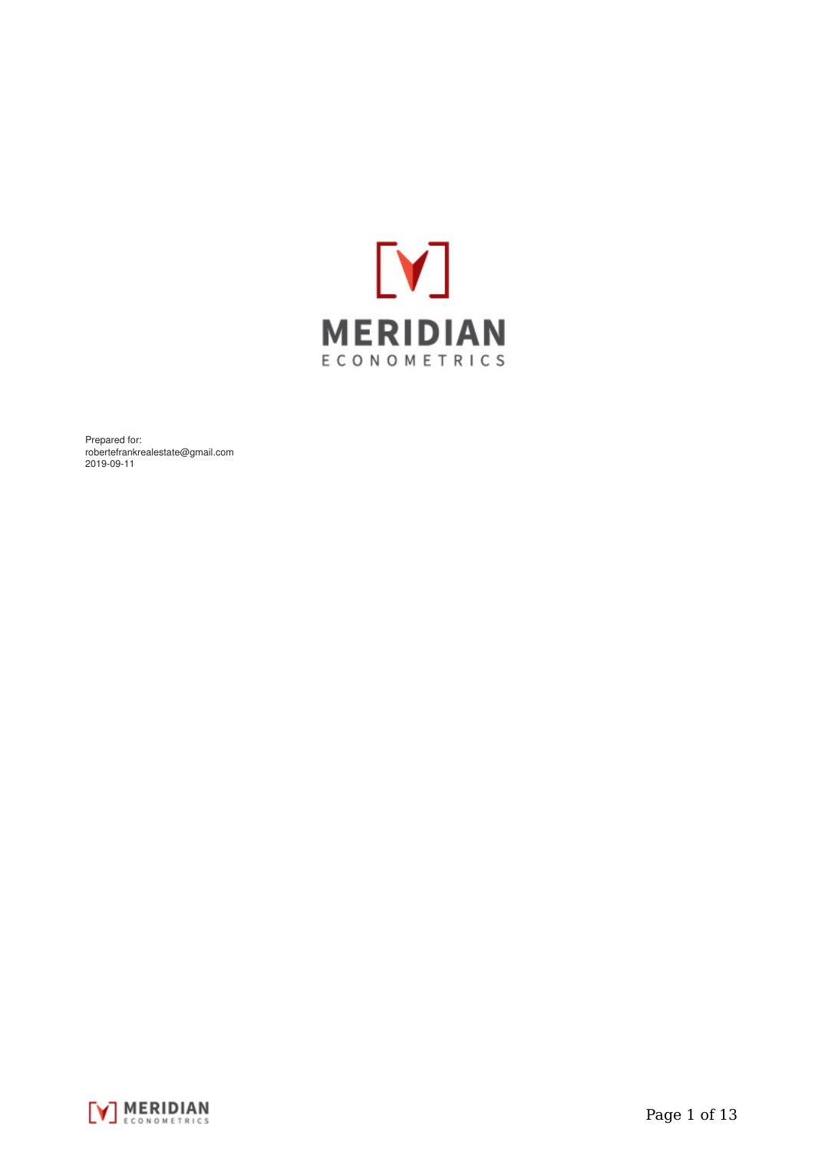

Prepared for: robertefrankrealestate@gmail.com 2019-09-11

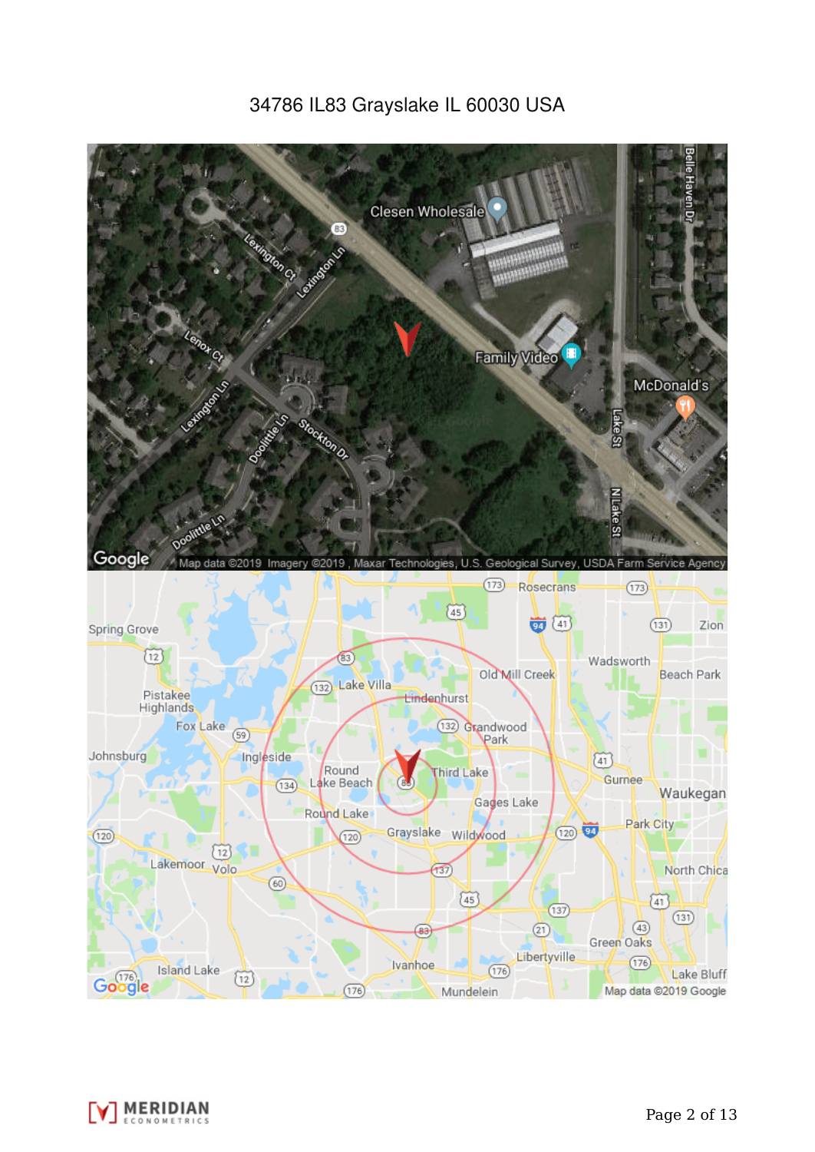# 34786 IL83 Grayslake IL 60030 USA



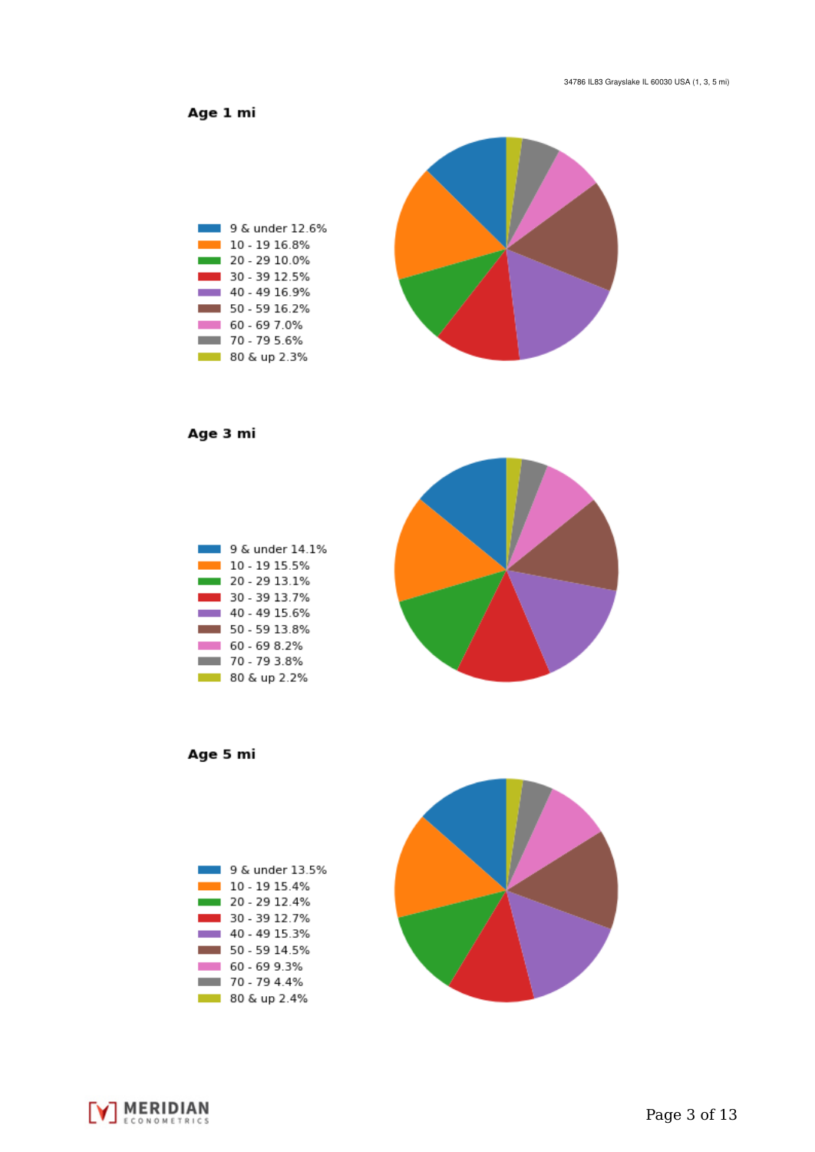Age 1 mi



Age 3 mi



Age 5 mi

| 9 & under 13.5% |
|-----------------|
| 10 - 19 15 4%   |
| 20 - 29 12 4%   |
| 30 - 39 12 7%   |
| 40 - 49 15 3%   |
| 50 - 59 14 5%   |
| 60 - 69 9 3%    |
| 70 - 79 4 4%    |
| 80 & up 2.4%    |



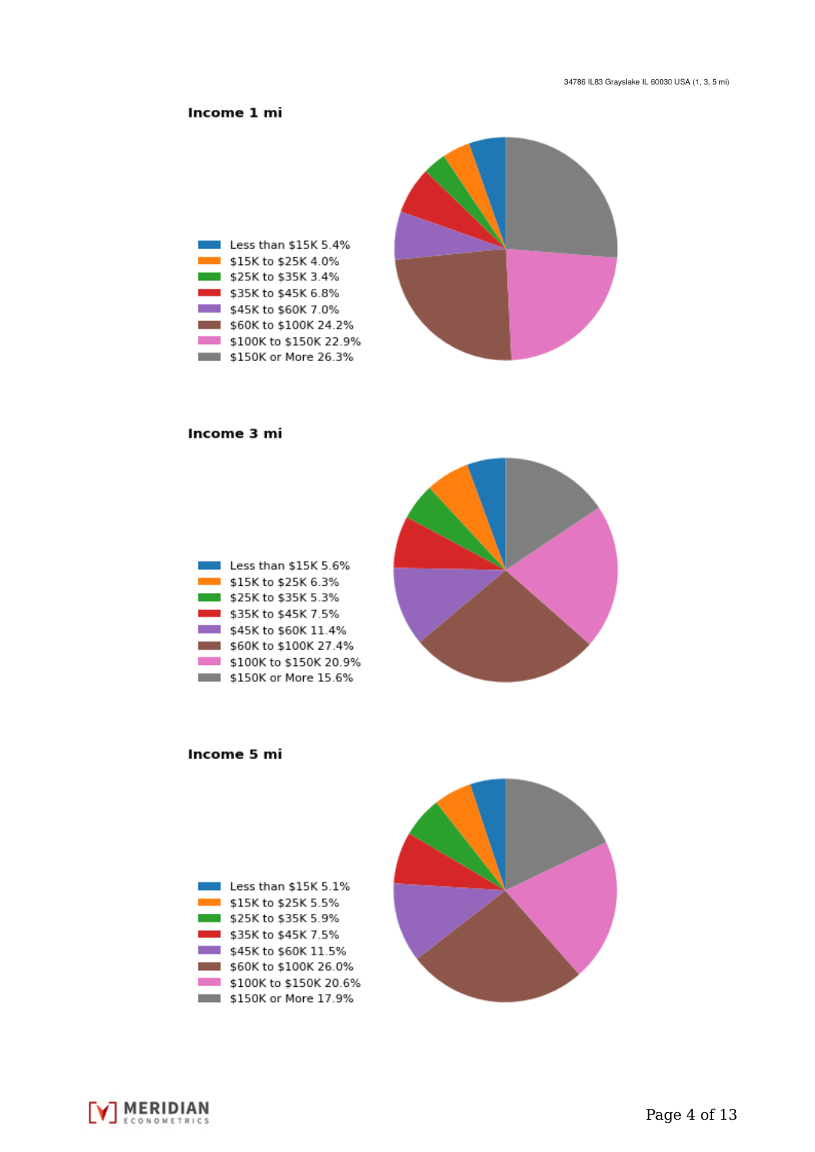## Income 1 mi



#### Income 3 mi





Income 5 mi



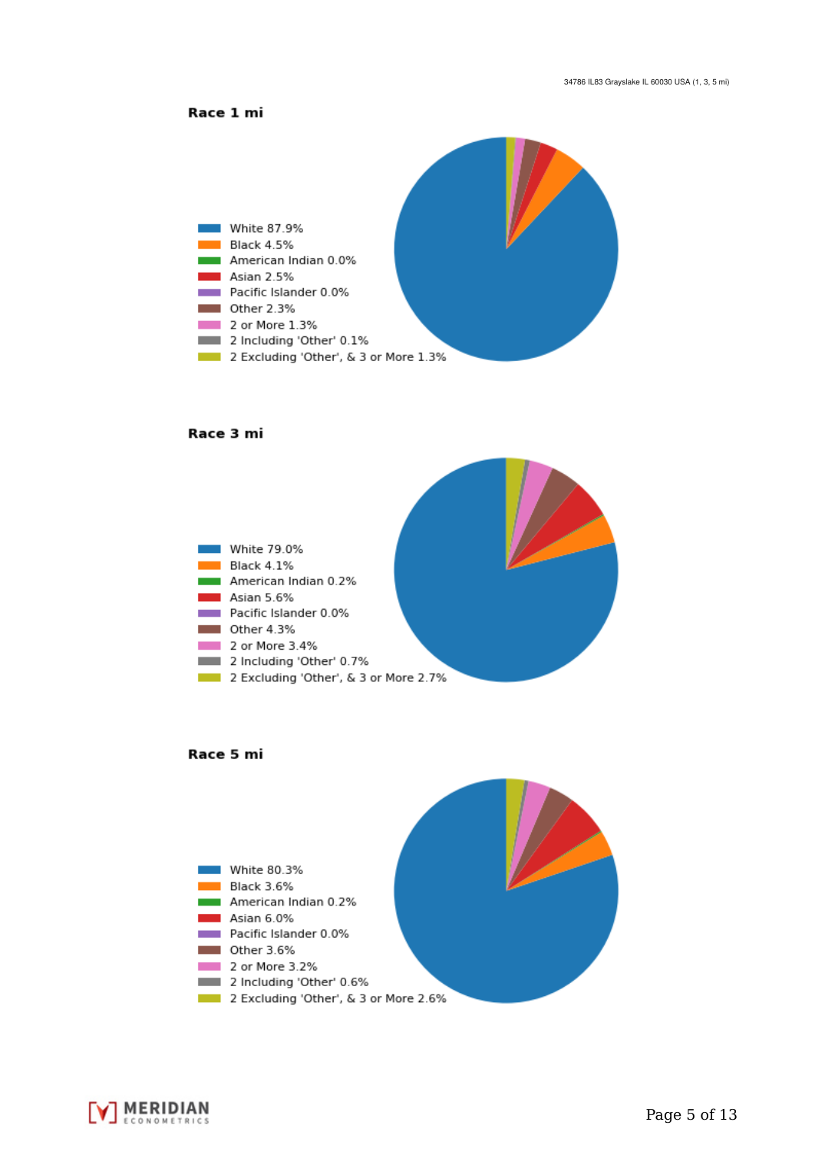



#### Race 3 mi







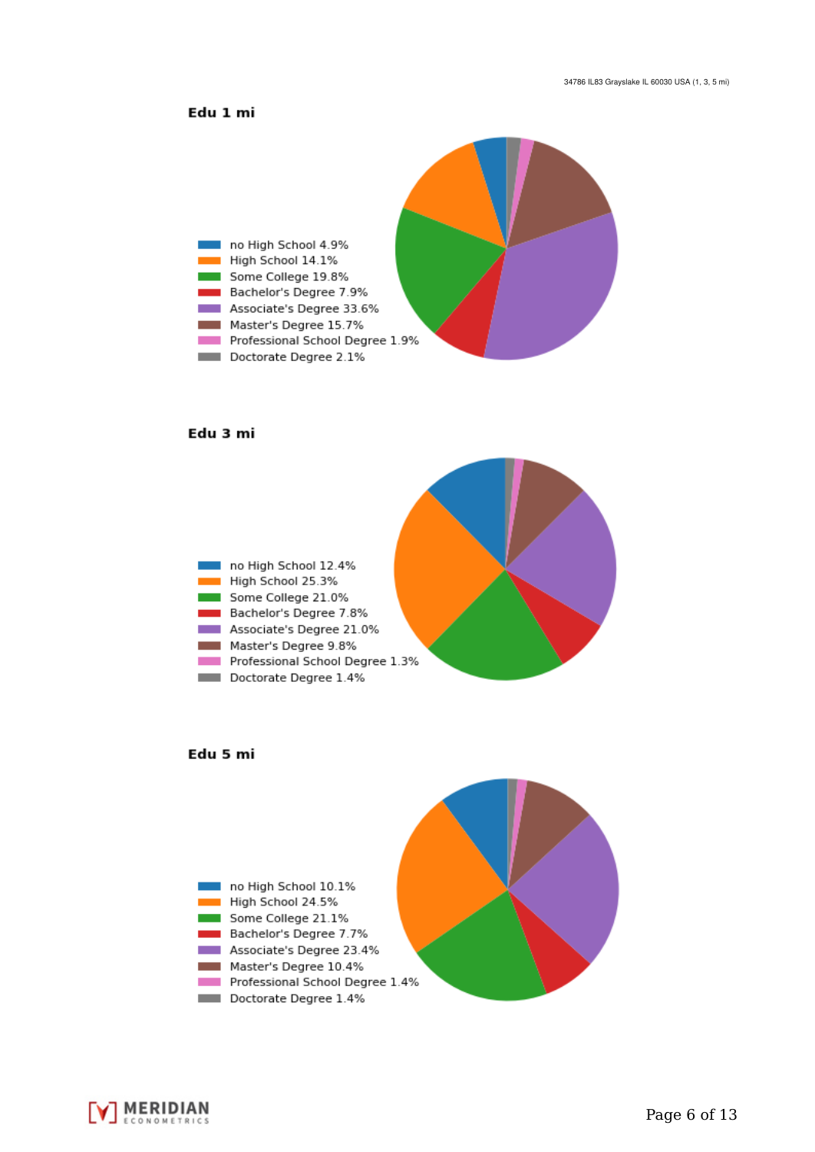### Edu 1 mi



#### Edu 3 mi







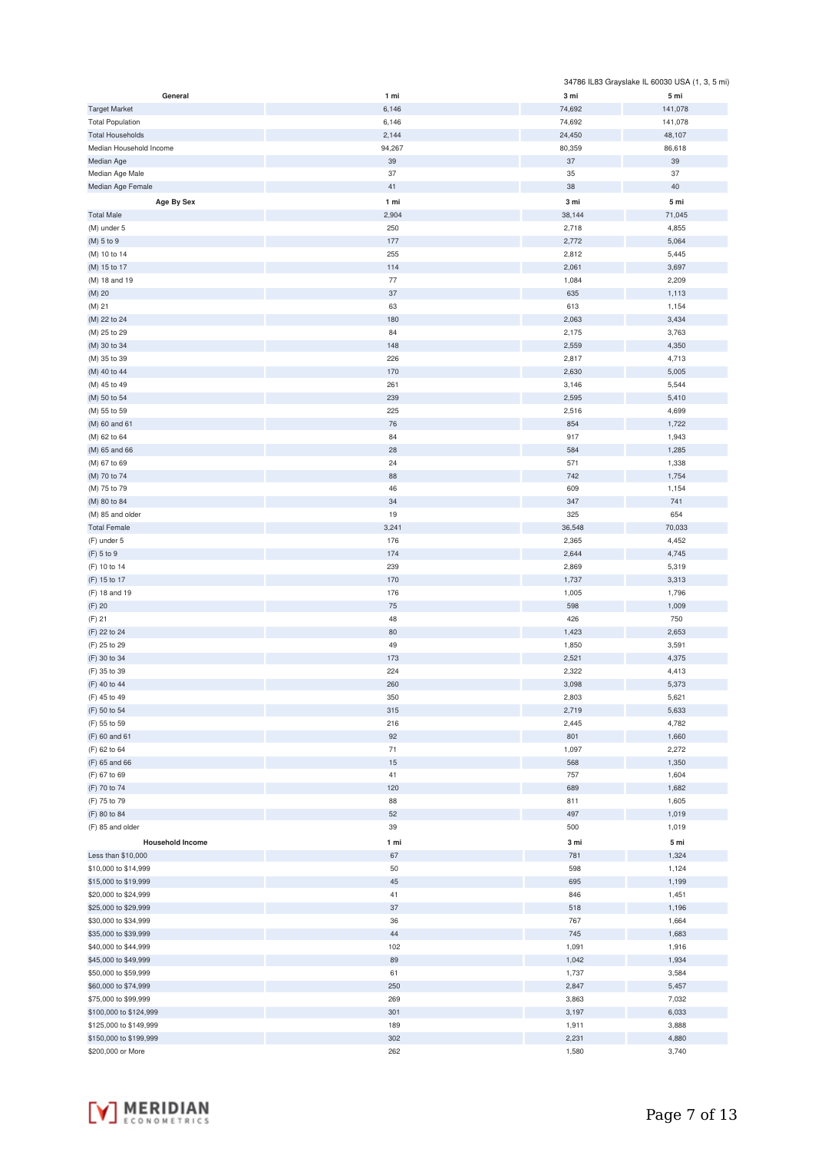|                                              |              |                 | 34786 IL83 Grayslake IL 60030 USA (1, 3, 5 mi) |
|----------------------------------------------|--------------|-----------------|------------------------------------------------|
| General                                      | 1 mi         | 3 mi            | 5 mi                                           |
| <b>Target Market</b>                         | 6,146        | 74,692          | 141,078                                        |
| <b>Total Population</b>                      | 6,146        | 74,692          | 141,078                                        |
| <b>Total Households</b>                      | 2,144        | 24,450          | 48,107                                         |
| Median Household Income                      | 94,267       | 80,359          | 86,618                                         |
| Median Age                                   | 39           | 37              | 39                                             |
| Median Age Male<br>Median Age Female         | 37<br>41     | 35<br>38        | 37<br>40                                       |
|                                              |              |                 |                                                |
| Age By Sex                                   | 1 mi         | 3 mi            | 5 mi                                           |
| <b>Total Male</b><br>(M) under 5             | 2,904<br>250 | 38,144<br>2,718 | 71,045<br>4,855                                |
| (M) 5 to 9                                   | 177          | 2,772           | 5,064                                          |
| (M) 10 to 14                                 | 255          | 2,812           | 5,445                                          |
| (M) 15 to 17                                 | 114          | 2,061           | 3,697                                          |
| (M) 18 and 19                                | 77           | 1,084           | 2,209                                          |
| (M) 20                                       | 37           | 635             | 1,113                                          |
| (M) 21                                       | 63           | 613             | 1,154                                          |
| (M) 22 to 24                                 | 180          | 2,063           | 3,434                                          |
| (M) 25 to 29                                 | 84           | 2,175           | 3,763                                          |
| (M) 30 to 34                                 | 148          | 2,559           | 4,350                                          |
| (M) 35 to 39                                 | 226          | 2,817           | 4,713                                          |
| (M) 40 to 44                                 | 170          | 2,630           | 5,005                                          |
| (M) 45 to 49                                 | 261          | 3,146           | 5,544                                          |
| (M) 50 to 54                                 | 239          | 2,595           | 5,410                                          |
| (M) 55 to 59                                 | 225          | 2,516           | 4,699                                          |
| (M) 60 and 61                                | 76           | 854             | 1,722                                          |
| (M) 62 to 64                                 | 84           | 917             | 1,943                                          |
| (M) 65 and 66<br>(M) 67 to 69                | 28<br>24     | 584<br>571      | 1,285<br>1,338                                 |
| (M) 70 to 74                                 | 88           | 742             | 1,754                                          |
| (M) 75 to 79                                 | 46           | 609             | 1,154                                          |
| (M) 80 to 84                                 | 34           | 347             | 741                                            |
| (M) 85 and older                             | 19           | 325             | 654                                            |
| <b>Total Female</b>                          | 3,241        | 36,548          | 70,033                                         |
| (F) under 5                                  | 176          | 2,365           | 4,452                                          |
| (F) 5 to 9                                   | 174          | 2,644           | 4,745                                          |
| (F) 10 to 14                                 | 239          | 2,869           | 5,319                                          |
| (F) 15 to 17                                 | 170          | 1,737           | 3,313                                          |
| (F) 18 and 19                                | 176          | 1,005           | 1,796                                          |
| (F) 20                                       | $75\,$       | 598             | 1,009                                          |
| (F) 21                                       | 48           | 426             | 750                                            |
| (F) 22 to 24                                 | 80           | 1,423           | 2,653                                          |
| (F) 25 to 29                                 | 49           | 1,850           | 3,591                                          |
| (F) 30 to 34                                 | 173          | 2,521           | 4,375                                          |
| (F) 35 to 39<br>(F) 40 to 44                 | 224<br>260   | 2,322<br>3,098  | 4,413<br>5,373                                 |
| (F) 45 to 49                                 | 350          | 2,803           | 5,621                                          |
| (F) 50 to 54                                 | 315          | 2,719           | 5,633                                          |
| (F) 55 to 59                                 | 216          | 2,445           | 4,782                                          |
| (F) 60 and 61                                | 92           | 801             | 1,660                                          |
| (F) 62 to 64                                 | 71           | 1,097           | 2,272                                          |
| (F) 65 and 66                                | $15\,$       | 568             | 1,350                                          |
| (F) 67 to 69                                 | 41           | 757             | 1,604                                          |
| (F) 70 to 74                                 | 120          | 689             | 1,682                                          |
| (F) 75 to 79                                 | 88           | 811             | 1,605                                          |
| (F) 80 to 84                                 | 52           | 497             | 1,019                                          |
| (F) 85 and older                             | 39           | 500             | 1,019                                          |
| <b>Household Income</b>                      | 1 mi         | 3 mi            | 5 mi                                           |
| Less than \$10,000                           | 67           | 781             | 1,324                                          |
| \$10,000 to \$14,999                         | 50           | 598             | 1,124                                          |
| \$15,000 to \$19,999                         | 45           | 695             | 1,199                                          |
| \$20,000 to \$24,999                         | 41           | 846             | 1,451                                          |
| \$25,000 to \$29,999                         | 37<br>36     | 518<br>767      | 1,196                                          |
| \$30,000 to \$34,999<br>\$35,000 to \$39,999 | 44           | 745             | 1,664<br>1,683                                 |
| \$40,000 to \$44,999                         | 102          | 1,091           | 1,916                                          |
| \$45,000 to \$49,999                         | 89           | 1,042           | 1,934                                          |
| \$50,000 to \$59,999                         | 61           | 1,737           | 3,584                                          |
| \$60,000 to \$74,999                         | 250          | 2,847           | 5,457                                          |
| \$75,000 to \$99,999                         | 269          | 3,863           | 7,032                                          |
| \$100,000 to \$124,999                       | 301          | 3,197           | 6,033                                          |
| \$125,000 to \$149,999                       | 189          | 1,911           | 3,888                                          |
| \$150,000 to \$199,999                       | 302          | 2,231           | 4,880                                          |
| \$200,000 or More                            | 262          | 1,580           | 3,740                                          |

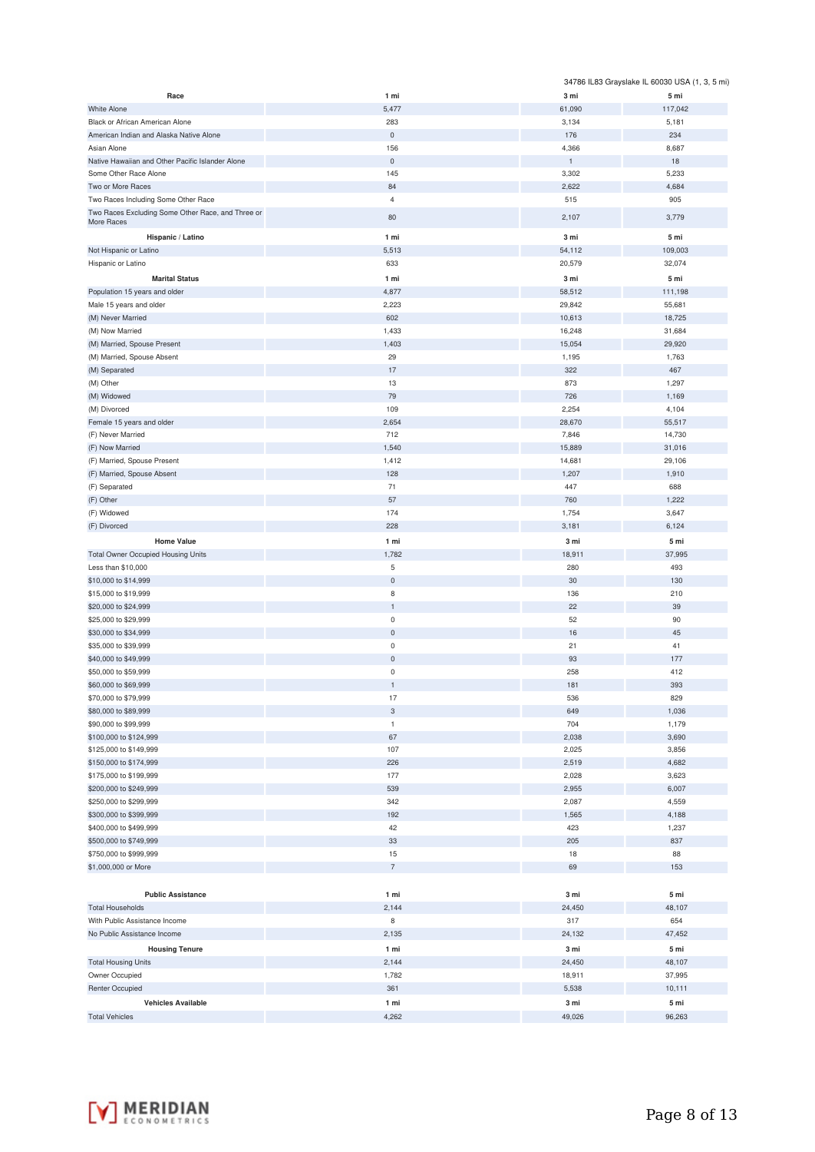|                                                   |                           |                      | 34786 IL83 Grayslake IL 60030 USA (1, 3, 5 mi) |
|---------------------------------------------------|---------------------------|----------------------|------------------------------------------------|
| Race                                              | 1 mi                      | 3 mi                 | 5 mi                                           |
| <b>White Alone</b>                                | 5,477                     | 61,090               | 117,042                                        |
| Black or African American Alone                   | 283                       | 3,134                | 5,181                                          |
| American Indian and Alaska Native Alone           | $\mathsf{O}\xspace$       | 176                  | 234                                            |
| Asian Alone                                       | 156                       | 4,366                | 8,687                                          |
| Native Hawaiian and Other Pacific Islander Alone  | $\mathbf 0$               | $\mathbf 1$<br>3,302 | 18<br>5,233                                    |
| Some Other Race Alone<br>Two or More Races        | 145<br>84                 | 2,622                | 4,684                                          |
| Two Races Including Some Other Race               | $\overline{4}$            | 515                  | 905                                            |
| Two Races Excluding Some Other Race, and Three or |                           |                      |                                                |
| More Races                                        | 80                        | 2,107                | 3,779                                          |
| Hispanic / Latino                                 | 1 mi                      | 3 mi                 | 5 mi                                           |
| Not Hispanic or Latino                            | 5,513                     | 54,112               | 109,003                                        |
| Hispanic or Latino                                | 633                       | 20,579               | 32,074                                         |
| <b>Marital Status</b>                             | 1 mi                      | 3 mi                 | 5 mi                                           |
| Population 15 years and older                     | 4,877                     | 58,512               | 111,198                                        |
| Male 15 years and older                           | 2,223                     | 29,842               | 55,681                                         |
| (M) Never Married                                 | 602                       | 10,613               | 18,725                                         |
| (M) Now Married                                   | 1,433                     | 16,248               | 31,684                                         |
| (M) Married, Spouse Present                       | 1,403                     | 15,054               | 29,920                                         |
| (M) Married, Spouse Absent                        | 29<br>17                  | 1,195<br>322         | 1,763<br>467                                   |
| (M) Separated<br>(M) Other                        | 13                        | 873                  | 1,297                                          |
| (M) Widowed                                       | 79                        | 726                  | 1,169                                          |
| (M) Divorced                                      | 109                       | 2,254                | 4,104                                          |
| Female 15 years and older                         | 2,654                     | 28,670               | 55,517                                         |
| (F) Never Married                                 | 712                       | 7,846                | 14,730                                         |
| (F) Now Married                                   | 1,540                     | 15,889               | 31,016                                         |
| (F) Married, Spouse Present                       | 1,412                     | 14,681               | 29,106                                         |
| (F) Married, Spouse Absent                        | 128                       | 1,207                | 1,910                                          |
| (F) Separated                                     | 71                        | 447                  | 688                                            |
| (F) Other                                         | 57                        | 760                  | 1,222                                          |
| (F) Widowed                                       | 174                       | 1,754                | 3,647                                          |
| (F) Divorced                                      | 228                       | 3,181                | 6,124                                          |
| <b>Home Value</b>                                 | 1 mi                      | 3 mi                 | 5 mi                                           |
| <b>Total Owner Occupied Housing Units</b>         | 1,782                     | 18,911               | 37,995                                         |
| Less than \$10,000                                | 5                         | 280                  | 493                                            |
| \$10,000 to \$14,999<br>\$15,000 to \$19,999      | $\mathsf{O}\xspace$<br>8  | 30<br>136            | 130<br>210                                     |
| \$20,000 to \$24,999                              | $\mathbf{1}$              | 22                   | 39                                             |
| \$25,000 to \$29,999                              | $\mathsf{O}\xspace$       | 52                   | 90                                             |
| \$30,000 to \$34,999                              | $\mathsf{O}\xspace$       | 16                   | 45                                             |
| \$35,000 to \$39,999                              | $\pmb{0}$                 | 21                   | 41                                             |
| \$40,000 to \$49,999                              | $\mathsf{O}\xspace$       | 93                   | 177                                            |
| \$50,000 to \$59,999                              | $\mathsf 0$               | 258                  | 412                                            |
| \$60,000 to \$69,999                              |                           | 181                  | 393                                            |
| \$70,000 to \$79,999                              | 17                        | 536                  | 829                                            |
| \$80,000 to \$89,999                              | $\ensuremath{\mathsf{3}}$ | 649                  | 1,036                                          |
| \$90,000 to \$99,999                              | $\mathbf{1}$              | 704                  | 1,179                                          |
| \$100,000 to \$124,999                            | 67                        | 2,038                | 3,690                                          |
| \$125,000 to \$149,999                            | 107                       | 2,025                | 3,856                                          |
| \$150,000 to \$174,999                            | 226                       | 2,519<br>2,028       | 4,682                                          |
| \$175,000 to \$199,999<br>\$200,000 to \$249,999  | 177<br>539                | 2,955                | 3,623<br>6,007                                 |
| \$250,000 to \$299,999                            | 342                       | 2,087                | 4,559                                          |
| \$300,000 to \$399,999                            | 192                       | 1,565                | 4,188                                          |
| \$400,000 to \$499,999                            | 42                        | 423                  | 1,237                                          |
| \$500,000 to \$749,999                            | 33                        | 205                  | 837                                            |
| \$750,000 to \$999,999                            | 15                        | 18                   | 88                                             |
| \$1,000,000 or More                               | $\overline{7}$            | 69                   | 153                                            |
|                                                   |                           |                      |                                                |
| <b>Public Assistance</b>                          | 1 mi                      | 3 mi                 | 5 mi                                           |
| <b>Total Households</b>                           | 2,144                     | 24,450               | 48,107                                         |
| With Public Assistance Income                     | 8                         | 317                  | 654                                            |
| No Public Assistance Income                       | 2,135                     | 24,132               | 47,452                                         |
| <b>Housing Tenure</b>                             | 1 mi                      | 3 mi                 | 5 mi                                           |
| <b>Total Housing Units</b>                        | 2,144                     | 24,450               | 48,107                                         |
| Owner Occupied                                    | 1,782                     | 18,911               | 37,995                                         |
| <b>Renter Occupied</b>                            | 361                       | 5,538                | 10,111                                         |
| <b>Vehicles Available</b>                         | 1 mi                      | 3 mi                 | 5 mi                                           |
| <b>Total Vehicles</b>                             | 4,262                     | 49,026               | 96,263                                         |

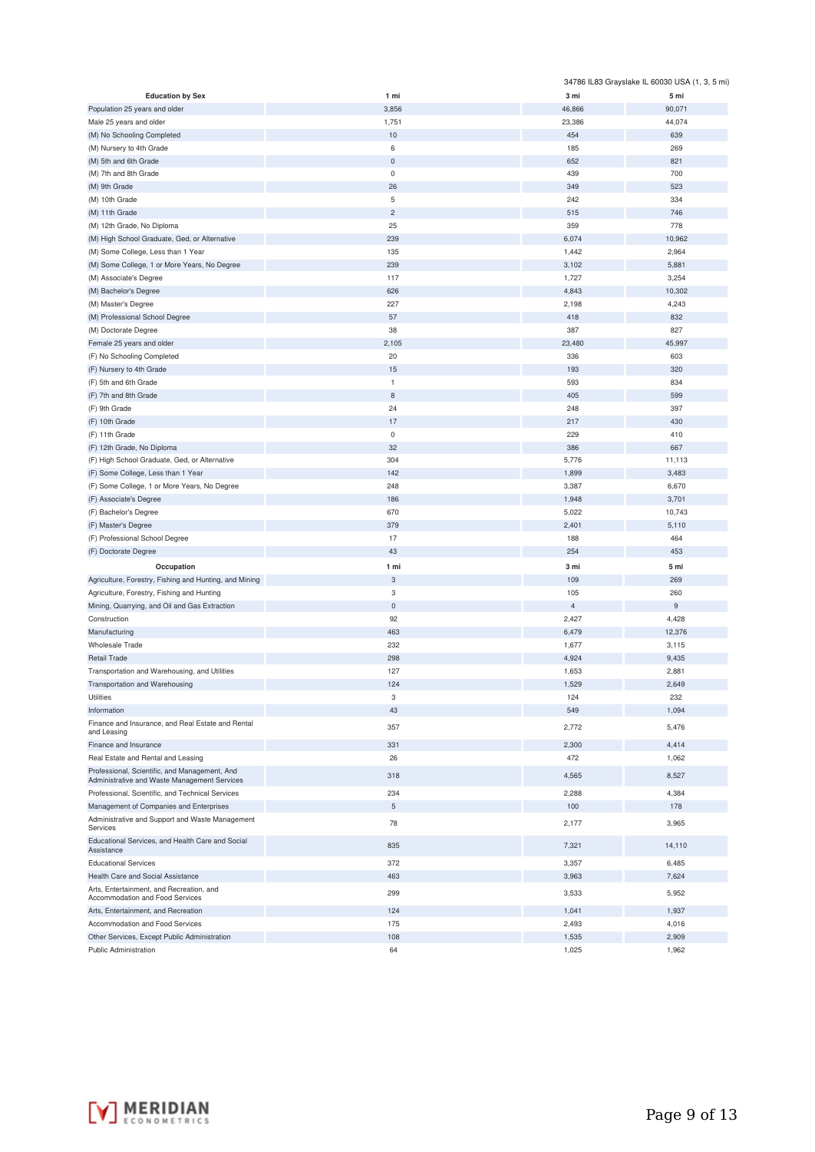|                                                                                               |                           |                | 34786 IL83 Grayslake IL 60030 USA (1, 3, 5 mi) |
|-----------------------------------------------------------------------------------------------|---------------------------|----------------|------------------------------------------------|
| <b>Education by Sex</b>                                                                       | 1 mi                      | 3 mi           | 5 mi                                           |
| Population 25 years and older                                                                 | 3,856                     | 46,866         | 90,071                                         |
| Male 25 years and older                                                                       | 1,751                     | 23,386         | 44,074                                         |
| (M) No Schooling Completed                                                                    | 10                        | 454            | 639                                            |
| (M) Nursery to 4th Grade                                                                      | 6                         | 185            | 269                                            |
| (M) 5th and 6th Grade                                                                         | $\mathbf 0$               | 652            | 821                                            |
| (M) 7th and 8th Grade                                                                         | $\mathsf 0$               | 439            | 700                                            |
| (M) 9th Grade                                                                                 | 26                        | 349            | 523                                            |
| (M) 10th Grade                                                                                | 5                         | 242            | 334                                            |
| (M) 11th Grade                                                                                | $\overline{c}$            | 515            | 746                                            |
| (M) 12th Grade, No Diploma                                                                    | 25                        | 359            | 778                                            |
| (M) High School Graduate, Ged, or Alternative                                                 | 239                       | 6,074          | 10,962                                         |
| (M) Some College, Less than 1 Year                                                            | 135                       | 1,442          | 2,964                                          |
| (M) Some College, 1 or More Years, No Degree                                                  | 239                       | 3,102          | 5,881                                          |
| (M) Associate's Degree                                                                        | 117                       | 1,727          | 3,254                                          |
| (M) Bachelor's Degree                                                                         | 626                       | 4,843          | 10,302                                         |
| (M) Master's Degree                                                                           | 227                       | 2,198          | 4,243                                          |
| (M) Professional School Degree                                                                | 57                        | 418            | 832                                            |
| (M) Doctorate Degree                                                                          | 38                        | 387            | 827                                            |
| Female 25 years and older                                                                     | 2,105                     | 23,480         | 45,997                                         |
| (F) No Schooling Completed                                                                    | 20                        | 336            | 603                                            |
| (F) Nursery to 4th Grade                                                                      | 15                        | 193            | 320                                            |
| (F) 5th and 6th Grade                                                                         | $\mathbf{1}$              | 593            | 834                                            |
| (F) 7th and 8th Grade                                                                         | 8                         | 405            | 599                                            |
| (F) 9th Grade                                                                                 | 24                        | 248            | 397                                            |
| (F) 10th Grade                                                                                | 17                        | 217            | 430                                            |
| (F) 11th Grade                                                                                | $\mathsf 0$               | 229            | 410                                            |
| (F) 12th Grade, No Diploma                                                                    | 32                        | 386            | 667                                            |
| (F) High School Graduate, Ged, or Alternative                                                 | 304                       | 5,776          | 11,113                                         |
| (F) Some College, Less than 1 Year                                                            | 142                       | 1,899          | 3,483                                          |
| (F) Some College, 1 or More Years, No Degree                                                  | 248                       | 3,387          | 6,670                                          |
| (F) Associate's Degree                                                                        | 186                       | 1,948          | 3,701                                          |
| (F) Bachelor's Degree                                                                         | 670                       | 5,022          | 10,743                                         |
| (F) Master's Degree                                                                           | 379                       | 2,401          | 5,110                                          |
| (F) Professional School Degree                                                                | 17                        | 188            | 464                                            |
| (F) Doctorate Degree                                                                          | 43                        | 254            | 453                                            |
| Occupation                                                                                    | 1 mi                      | 3 mi           | 5 mi                                           |
| Agriculture, Forestry, Fishing and Hunting, and Mining                                        | $\ensuremath{\mathsf{3}}$ | 109            | 269                                            |
| Agriculture, Forestry, Fishing and Hunting                                                    | 3                         | 105            | 260                                            |
| Mining, Quarrying, and Oil and Gas Extraction                                                 | $\mathbf 0$               | $\overline{4}$ | $\boldsymbol{9}$                               |
| Construction                                                                                  | 92                        | 2,427          | 4,428                                          |
| Manufacturing                                                                                 | 463                       | 6,479          | 12,376                                         |
| <b>Wholesale Trade</b>                                                                        | 232                       | 1,677          | 3,115                                          |
| Retail Trade                                                                                  | 298                       | 4,924          | 9,435                                          |
| Transportation and Warehousing, and Utilities                                                 | 127                       | 1,653          | 2,881                                          |
| Transportation and Warehousing                                                                | 124                       | 1,529          | 2,649                                          |
| Utilities                                                                                     | 3                         | 124            | 232                                            |
| Information                                                                                   | 43                        | 549            | 1,094                                          |
| Finance and Insurance, and Real Estate and Rental<br>and Leasing                              | 357                       | 2,772          | 5,476                                          |
| Finance and Insurance                                                                         | 331                       | 2,300          | 4,414                                          |
| Real Estate and Rental and Leasing                                                            | 26                        | 472            | 1,062                                          |
| Professional, Scientific, and Management, And<br>Administrative and Waste Management Services | 318                       | 4,565          | 8,527                                          |
| Professional, Scientific, and Technical Services                                              | 234                       | 2,288          | 4,384                                          |
| Management of Companies and Enterprises                                                       | 5                         | 100            | 178                                            |
| Administrative and Support and Waste Management<br>Services                                   | 78                        | 2,177          | 3,965                                          |
| Educational Services, and Health Care and Social<br>Assistance                                | 835                       | 7,321          | 14,110                                         |
| <b>Educational Services</b>                                                                   | 372                       | 3,357          | 6,485                                          |
| Health Care and Social Assistance                                                             | 463                       | 3,963          | 7,624                                          |
| Arts, Entertainment, and Recreation, and<br>Accommodation and Food Services                   | 299                       | 3,533          | 5,952                                          |
| Arts, Entertainment, and Recreation                                                           | 124                       | 1,041          | 1,937                                          |
| Accommodation and Food Services                                                               | 175                       | 2,493          | 4,016                                          |
| Other Services, Except Public Administration                                                  | 108                       | 1,535          | 2,909                                          |
| <b>Public Administration</b>                                                                  | 64                        | 1,025          | 1,962                                          |

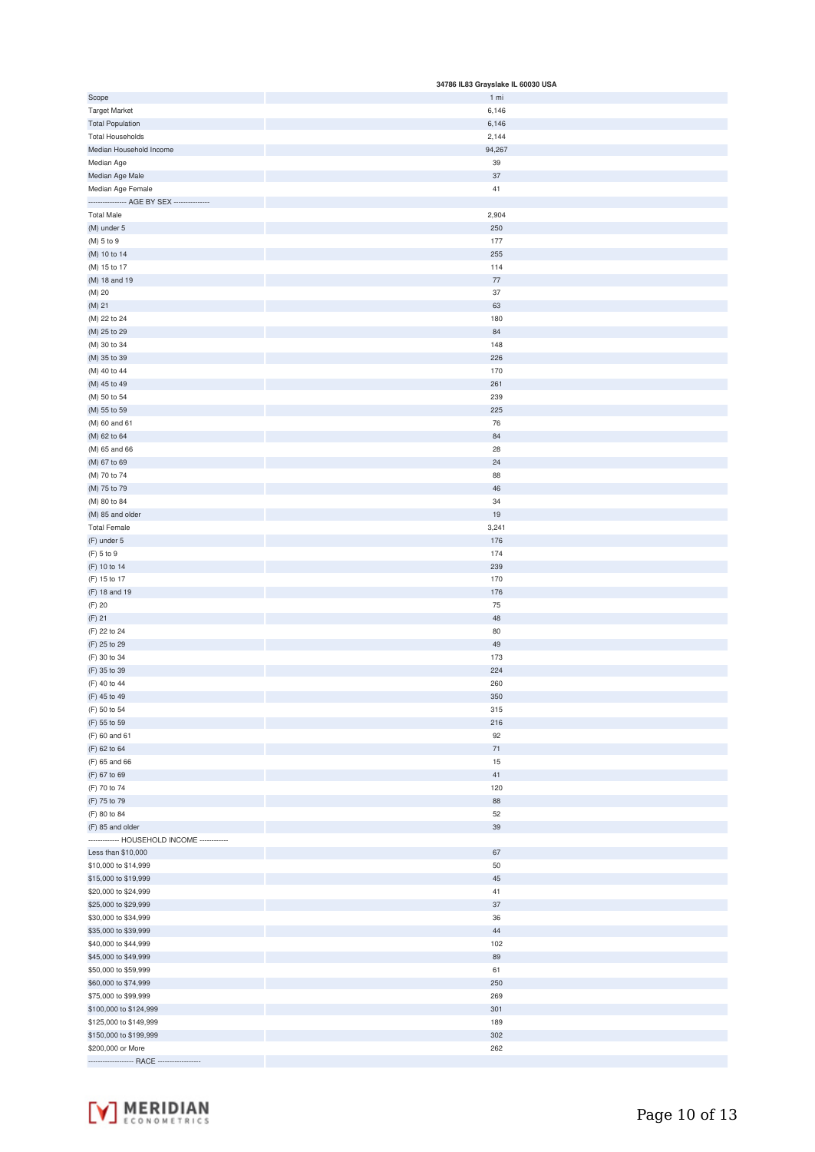|                                             | 34786 IL83 Grayslake IL 60030 USA |
|---------------------------------------------|-----------------------------------|
| Scope                                       | 1 mi                              |
| <b>Target Market</b>                        | 6,146                             |
| <b>Total Population</b>                     | 6,146                             |
| <b>Total Households</b>                     | 2,144                             |
| Median Household Income                     | 94,267                            |
| Median Age                                  | 39                                |
| Median Age Male                             | 37                                |
| Median Age Female                           | 41                                |
| ---------------- AGE BY SEX --------------- |                                   |
| <b>Total Male</b>                           | 2,904                             |
| (M) under 5                                 | 250                               |
| (M) 5 to 9                                  | 177                               |
| (M) 10 to 14                                | 255                               |
| (M) 15 to 17                                | 114                               |
| (M) 18 and 19                               | $77\,$                            |
| (M) 20                                      | 37                                |
| (M) 21                                      | 63                                |
| (M) 22 to 24                                | 180                               |
| (M) 25 to 29                                | 84                                |
| (M) 30 to 34                                | 148                               |
| (M) 35 to 39                                | 226                               |
| (M) 40 to 44                                | 170                               |
| (M) 45 to 49                                | 261                               |
| (M) 50 to 54                                | 239                               |
| (M) 55 to 59                                | 225                               |
| (M) 60 and 61                               | 76                                |
| (M) 62 to 64                                | 84                                |
| (M) 65 and 66                               | 28                                |
| (M) 67 to 69                                | 24                                |
| (M) 70 to 74                                | 88                                |
| (M) 75 to 79                                | 46                                |
| (M) 80 to 84                                | 34                                |
| (M) 85 and older                            | 19                                |
| <b>Total Female</b>                         | 3,241                             |
| (F) under 5                                 | 176                               |
| (F) 5 to 9                                  | 174                               |
| (F) 10 to 14                                | 239                               |
| (F) 15 to 17                                | 170                               |
| (F) 18 and 19                               | 176                               |
| (F) 20                                      | 75                                |
| $(F)$ 21                                    | 48                                |
| (F) 22 to 24                                | 80                                |
| (F) 25 to 29                                | 49                                |
| (F) 30 to 34                                | 173                               |
| (F) 35 to 39                                | 224                               |
| (F) 40 to 44                                | 260                               |
| (F) 45 to 49                                | 350                               |
| (F) 50 to 54                                | 315                               |
| (F) 55 to 59                                | 216                               |
| (F) 60 and 61                               | 92                                |
| (F) 62 to 64                                | $71\,$                            |
| (F) 65 and 66                               | $15$                              |
| (F) 67 to 69                                | $41\,$                            |
| (F) 70 to 74                                | 120                               |
| (F) 75 to 79                                | 88                                |
| (F) 80 to 84                                | 52                                |
| (F) 85 and older                            | 39                                |
| ------------- HOUSEHOLD INCOME ------------ |                                   |
| Less than \$10,000                          | 67                                |
| \$10,000 to \$14,999                        | 50                                |
| \$15,000 to \$19,999                        | 45                                |
| \$20,000 to \$24,999                        | $41\,$                            |
| \$25,000 to \$29,999                        | 37                                |
| \$30,000 to \$34,999                        | 36                                |
| \$35,000 to \$39,999                        | $44\,$                            |
| \$40,000 to \$44,999                        | 102                               |
| \$45,000 to \$49,999                        | 89                                |
| \$50,000 to \$59,999                        | 61                                |
| \$60,000 to \$74,999                        | 250                               |
| \$75,000 to \$99,999                        | 269                               |
| \$100,000 to \$124,999                      | 301                               |
| \$125,000 to \$149,999                      | 189                               |
| \$150,000 to \$199,999                      | 302                               |
| \$200,000 or More                           | 262                               |
| ------------------- RACE -----------------  |                                   |

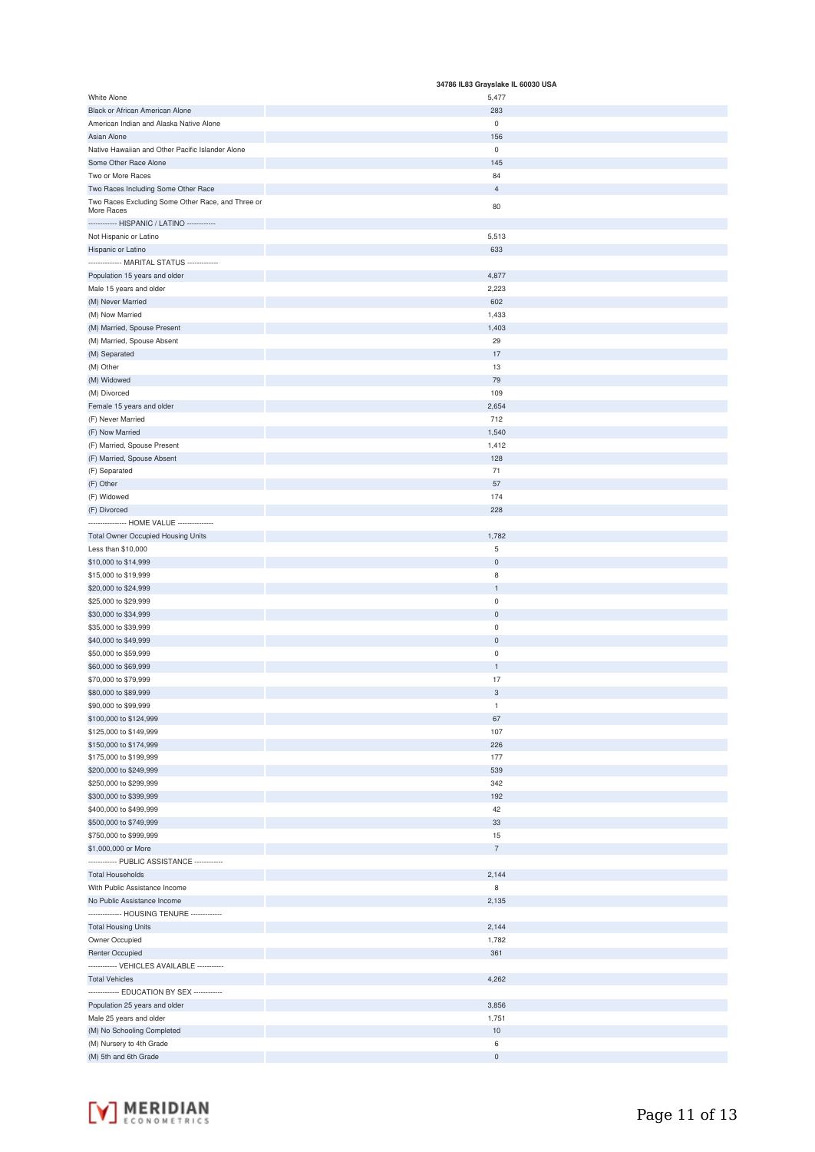|                                                   | 34786 IL83 Grayslake IL 60030 USA |
|---------------------------------------------------|-----------------------------------|
| White Alone                                       | 5,477                             |
| Black or African American Alone                   | 283                               |
| American Indian and Alaska Native Alone           | $\mathsf{O}\xspace$               |
| Asian Alone                                       | 156                               |
| Native Hawaiian and Other Pacific Islander Alone  | $\mathsf 0$                       |
| Some Other Race Alone                             | 145                               |
| Two or More Races                                 | 84                                |
| Two Races Including Some Other Race               | $\overline{4}$                    |
| Two Races Excluding Some Other Race, and Three or | 80                                |
| More Races                                        |                                   |
| ------------ HISPANIC / LATINO ------------       |                                   |
| Not Hispanic or Latino                            | 5,513                             |
| Hispanic or Latino                                | 633                               |
| -------------- MARITAL STATUS -------------       |                                   |
| Population 15 years and older                     | 4,877                             |
| Male 15 years and older                           | 2,223                             |
| (M) Never Married                                 | 602                               |
| (M) Now Married                                   | 1,433                             |
|                                                   |                                   |
| (M) Married, Spouse Present                       | 1,403                             |
| (M) Married, Spouse Absent                        | 29                                |
| (M) Separated                                     | 17                                |
| (M) Other                                         | 13                                |
| (M) Widowed                                       | 79                                |
| (M) Divorced                                      | 109                               |
| Female 15 years and older                         | 2,654                             |
| (F) Never Married                                 | 712                               |
| (F) Now Married                                   | 1,540                             |
| (F) Married, Spouse Present                       | 1,412                             |
| (F) Married, Spouse Absent                        | 128                               |
|                                                   |                                   |
| (F) Separated                                     | 71                                |
| (F) Other                                         | 57                                |
| (F) Widowed                                       | 174                               |
| (F) Divorced                                      | 228                               |
| --------------- HOME VALUE --------------         |                                   |
| <b>Total Owner Occupied Housing Units</b>         | 1,782                             |
| Less than \$10,000                                | $\sqrt{5}$                        |
| \$10,000 to \$14,999                              | $\mathsf{O}\xspace$               |
| \$15,000 to \$19,999                              | 8                                 |
| \$20,000 to \$24,999                              | $\overline{1}$                    |
|                                                   |                                   |
| \$25,000 to \$29,999                              | $\mathbf 0$                       |
| \$30,000 to \$34,999                              | $\mathbf 0$                       |
| \$35,000 to \$39,999                              | $\mathbf 0$                       |
| \$40,000 to \$49,999                              | $\mathsf{O}\xspace$               |
| \$50,000 to \$59,999                              | $\mathbf 0$                       |
| \$60,000 to \$69,999                              | $\mathbf{1}$                      |
| \$70,000 to \$79,999                              | 17                                |
| \$80,000 to \$89,999                              | 3                                 |
| \$90,000 to \$99,999                              | $\mathbf 1$                       |
| \$100,000 to \$124,999                            | 67                                |
| \$125,000 to \$149,999                            | 107                               |
|                                                   | 226                               |
| \$150,000 to \$174,999                            |                                   |
| \$175,000 to \$199,999                            | 177                               |
| \$200,000 to \$249,999                            | 539                               |
| \$250,000 to \$299,999                            | 342                               |
| \$300,000 to \$399,999                            | 192                               |
| \$400,000 to \$499,999                            | 42                                |
| \$500,000 to \$749,999                            | 33                                |
| \$750,000 to \$999,999                            | 15                                |
| \$1,000,000 or More                               | $\overline{\phantom{a}}$          |
|                                                   |                                   |
| <b>Total Households</b>                           | 2,144                             |
| With Public Assistance Income                     | 8                                 |
| No Public Assistance Income                       | 2,135                             |
|                                                   |                                   |
| -------------- HOUSING TENURE -------------       |                                   |
| <b>Total Housing Units</b>                        | 2,144                             |
| Owner Occupied                                    | 1,782                             |
| Renter Occupied                                   | 361                               |
| ------------ VEHICLES AVAILABLE -----------       |                                   |
| <b>Total Vehicles</b>                             | 4,262                             |
| ------------- EDUCATION BY SEX ------------       |                                   |
| Population 25 years and older                     | 3,856                             |
| Male 25 years and older                           | 1,751                             |
|                                                   |                                   |
| (M) No Schooling Completed                        | $10$                              |
| (M) Nursery to 4th Grade                          | 6                                 |
| (M) 5th and 6th Grade                             | $\mathsf{O}\xspace$               |

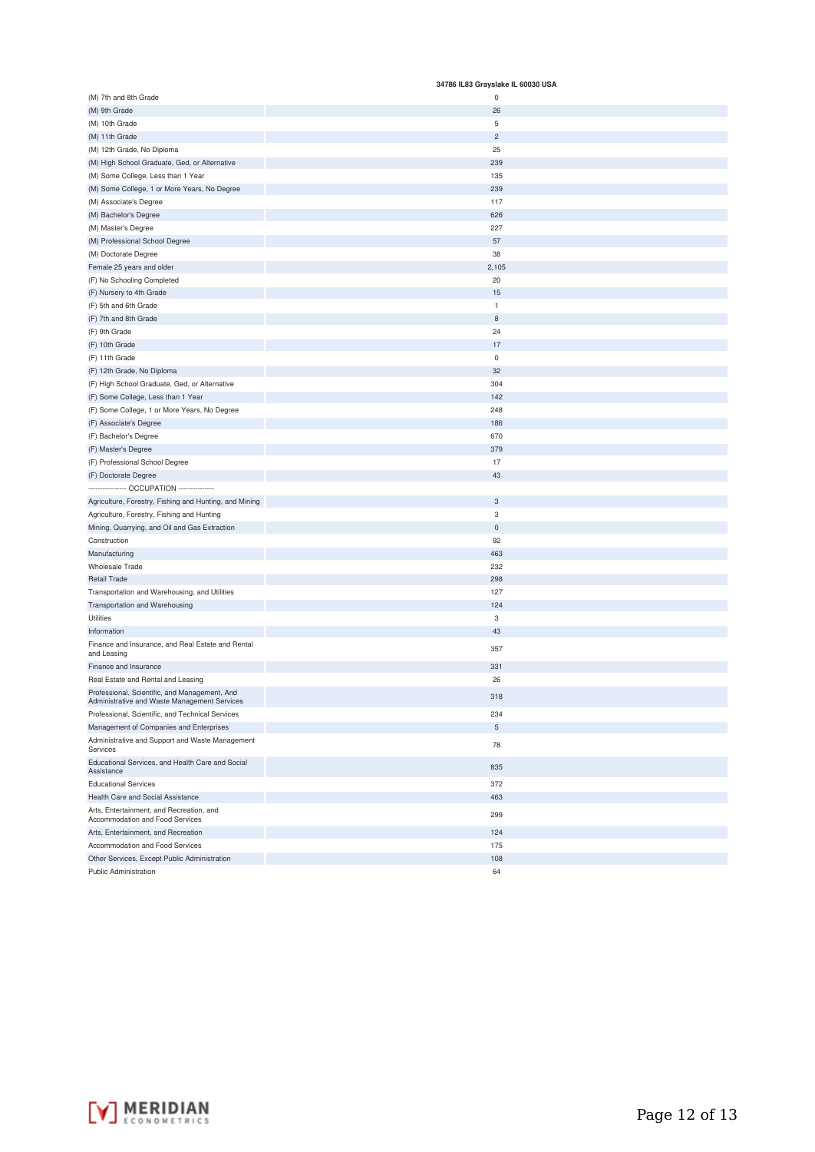|                                                                                               | 34786 IL83 Grayslake IL 60030 USA |
|-----------------------------------------------------------------------------------------------|-----------------------------------|
| (M) 7th and 8th Grade                                                                         | 0                                 |
| (M) 9th Grade                                                                                 | 26                                |
| (M) 10th Grade                                                                                | 5                                 |
| (M) 11th Grade                                                                                | $\overline{c}$                    |
| (M) 12th Grade, No Diploma                                                                    | 25                                |
| (M) High School Graduate, Ged, or Alternative                                                 | 239                               |
| (M) Some College, Less than 1 Year                                                            | 135                               |
| (M) Some College, 1 or More Years, No Degree                                                  | 239                               |
| (M) Associate's Degree                                                                        | 117                               |
| (M) Bachelor's Degree                                                                         | 626                               |
| (M) Master's Degree                                                                           | 227                               |
| (M) Professional School Degree                                                                | 57                                |
| (M) Doctorate Degree                                                                          | 38                                |
| Female 25 years and older                                                                     | 2,105                             |
| (F) No Schooling Completed                                                                    | 20                                |
| (F) Nursery to 4th Grade                                                                      | 15                                |
| (F) 5th and 6th Grade                                                                         | 1                                 |
| (F) 7th and 8th Grade                                                                         | 8                                 |
| (F) 9th Grade                                                                                 | 24                                |
| (F) 10th Grade                                                                                | 17                                |
| (F) 11th Grade                                                                                | $\mathsf 0$                       |
| (F) 12th Grade, No Diploma                                                                    | 32                                |
| (F) High School Graduate, Ged, or Alternative                                                 | 304                               |
| (F) Some College, Less than 1 Year                                                            | 142                               |
| (F) Some College, 1 or More Years, No Degree                                                  | 248                               |
| (F) Associate's Degree                                                                        | 186                               |
| (F) Bachelor's Degree                                                                         | 670                               |
| (F) Master's Degree                                                                           | 379                               |
| (F) Professional School Degree                                                                | 17                                |
| (F) Doctorate Degree                                                                          | 43                                |
| --------------- OCCUPATION ---------------                                                    |                                   |
| Agriculture, Forestry, Fishing and Hunting, and Mining                                        | $\ensuremath{\mathsf{3}}$         |
| Agriculture, Forestry, Fishing and Hunting                                                    | 3                                 |
| Mining, Quarrying, and Oil and Gas Extraction                                                 | $\mathsf{O}\xspace$               |
| Construction                                                                                  | 92                                |
| Manufacturing                                                                                 | 463                               |
| Wholesale Trade                                                                               | 232                               |
| <b>Retail Trade</b>                                                                           | 298                               |
| Transportation and Warehousing, and Utilities                                                 | 127                               |
| Transportation and Warehousing                                                                | 124                               |
| <b>Utilities</b>                                                                              | 3                                 |
| Information                                                                                   | 43                                |
| Finance and Insurance, and Real Estate and Rental<br>and Leasing                              | 357                               |
| Finance and Insurance                                                                         | 331                               |
| Real Estate and Rental and Leasing                                                            | 26                                |
| Professional, Scientific, and Management, And<br>Administrative and Waste Management Services | 318                               |
| Professional, Scientific, and Technical Services                                              | 234                               |
| Management of Companies and Enterprises                                                       | 5                                 |
| Administrative and Support and Waste Management<br>Services                                   | 78                                |
| Educational Services, and Health Care and Social<br>Assistance                                | 835                               |
| <b>Educational Services</b>                                                                   | 372                               |
| Health Care and Social Assistance                                                             | 463                               |
| Arts, Entertainment, and Recreation, and<br>Accommodation and Food Services                   | 299                               |
| Arts, Entertainment, and Recreation                                                           | 124                               |
| Accommodation and Food Services                                                               | 175                               |
| Other Services, Except Public Administration                                                  | 108                               |
| Public Administration                                                                         | 64                                |